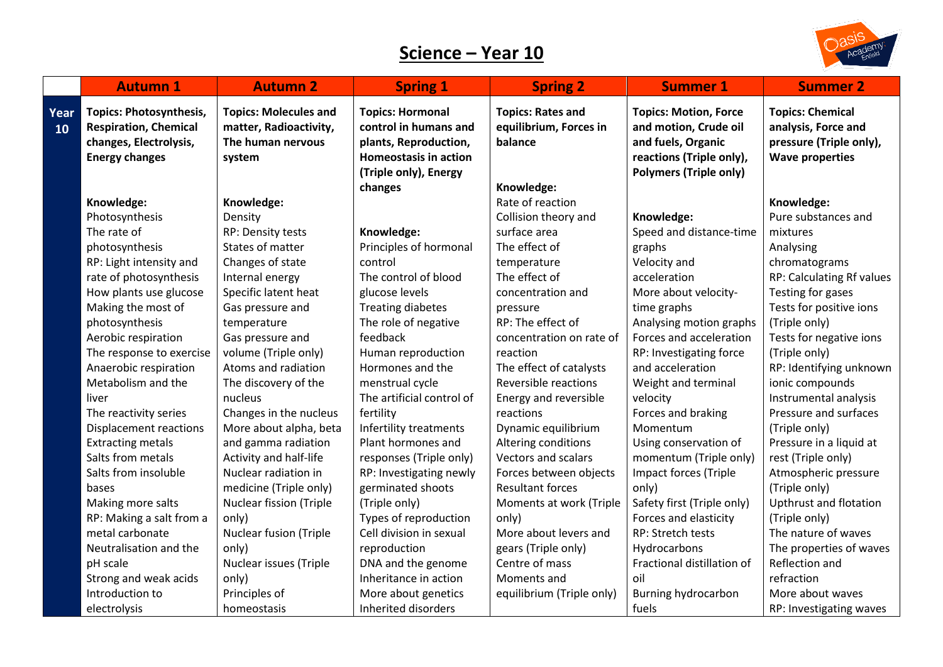## **Science – Year 10**

**Year** 



|            | <b>Autumn 1</b>                                                                                                   | <b>Autumn 2</b>                                                                       | <b>Spring 1</b>                                                                                           | <b>Spring 2</b>                                               | <b>Summer 1</b>                                                                                         | <b>Summer 2</b>                                                                                     |
|------------|-------------------------------------------------------------------------------------------------------------------|---------------------------------------------------------------------------------------|-----------------------------------------------------------------------------------------------------------|---------------------------------------------------------------|---------------------------------------------------------------------------------------------------------|-----------------------------------------------------------------------------------------------------|
| 'ear<br>10 | <b>Topics: Photosynthesis,</b><br><b>Respiration, Chemical</b><br>changes, Electrolysis,<br><b>Energy changes</b> | <b>Topics: Molecules and</b><br>matter, Radioactivity,<br>The human nervous<br>system | <b>Topics: Hormonal</b><br>control in humans and<br>plants, Reproduction,<br><b>Homeostasis in action</b> | <b>Topics: Rates and</b><br>equilibrium, Forces in<br>balance | <b>Topics: Motion, Force</b><br>and motion, Crude oil<br>and fuels, Organic<br>reactions (Triple only), | <b>Topics: Chemical</b><br>analysis, Force and<br>pressure (Triple only),<br><b>Wave properties</b> |
|            |                                                                                                                   |                                                                                       | (Triple only), Energy                                                                                     |                                                               | <b>Polymers (Triple only)</b>                                                                           |                                                                                                     |
|            |                                                                                                                   |                                                                                       | changes                                                                                                   | Knowledge:                                                    |                                                                                                         |                                                                                                     |
|            | Knowledge:                                                                                                        | Knowledge:                                                                            |                                                                                                           | Rate of reaction                                              |                                                                                                         | Knowledge:                                                                                          |
|            | Photosynthesis                                                                                                    | Density                                                                               |                                                                                                           | Collision theory and                                          | Knowledge:                                                                                              | Pure substances and                                                                                 |
|            | The rate of                                                                                                       | RP: Density tests                                                                     | Knowledge:                                                                                                | surface area                                                  | Speed and distance-time                                                                                 | mixtures                                                                                            |
|            | photosynthesis                                                                                                    | States of matter                                                                      | Principles of hormonal                                                                                    | The effect of                                                 | graphs                                                                                                  | Analysing                                                                                           |
|            | RP: Light intensity and                                                                                           | Changes of state                                                                      | control                                                                                                   | temperature                                                   | Velocity and                                                                                            | chromatograms                                                                                       |
|            | rate of photosynthesis                                                                                            | Internal energy                                                                       | The control of blood                                                                                      | The effect of                                                 | acceleration                                                                                            | RP: Calculating Rf values                                                                           |
|            | How plants use glucose                                                                                            | Specific latent heat                                                                  | glucose levels                                                                                            | concentration and                                             | More about velocity-                                                                                    | Testing for gases                                                                                   |
|            | Making the most of                                                                                                | Gas pressure and                                                                      | <b>Treating diabetes</b>                                                                                  | pressure                                                      | time graphs                                                                                             | Tests for positive ions                                                                             |
|            | photosynthesis                                                                                                    | temperature                                                                           | The role of negative                                                                                      | RP: The effect of                                             | Analysing motion graphs                                                                                 | (Triple only)                                                                                       |
|            | Aerobic respiration                                                                                               | Gas pressure and                                                                      | feedback                                                                                                  | concentration on rate of                                      | Forces and acceleration                                                                                 | Tests for negative ions                                                                             |
|            | The response to exercise                                                                                          | volume (Triple only)                                                                  | Human reproduction                                                                                        | reaction                                                      | RP: Investigating force                                                                                 | (Triple only)                                                                                       |
|            | Anaerobic respiration                                                                                             | Atoms and radiation                                                                   | Hormones and the                                                                                          | The effect of catalysts                                       | and acceleration                                                                                        | RP: Identifying unknown                                                                             |
|            | Metabolism and the                                                                                                | The discovery of the                                                                  | menstrual cycle                                                                                           | Reversible reactions                                          | Weight and terminal                                                                                     | ionic compounds                                                                                     |
|            | liver                                                                                                             | nucleus                                                                               | The artificial control of                                                                                 | Energy and reversible                                         | velocity                                                                                                | Instrumental analysis                                                                               |
|            | The reactivity series                                                                                             | Changes in the nucleus                                                                | fertility                                                                                                 | reactions                                                     | Forces and braking                                                                                      | Pressure and surfaces                                                                               |
|            | <b>Displacement reactions</b>                                                                                     | More about alpha, beta                                                                | Infertility treatments                                                                                    | Dynamic equilibrium                                           | Momentum                                                                                                | (Triple only)                                                                                       |
|            | <b>Extracting metals</b>                                                                                          | and gamma radiation                                                                   | Plant hormones and                                                                                        | Altering conditions                                           | Using conservation of                                                                                   | Pressure in a liquid at                                                                             |
|            | Salts from metals                                                                                                 | Activity and half-life                                                                | responses (Triple only)                                                                                   | Vectors and scalars                                           | momentum (Triple only)                                                                                  | rest (Triple only)                                                                                  |
|            | Salts from insoluble                                                                                              | Nuclear radiation in                                                                  | RP: Investigating newly                                                                                   | Forces between objects                                        | Impact forces (Triple                                                                                   | Atmospheric pressure                                                                                |
|            | bases                                                                                                             | medicine (Triple only)                                                                | germinated shoots                                                                                         | <b>Resultant forces</b>                                       | only)                                                                                                   | (Triple only)                                                                                       |
|            | Making more salts                                                                                                 | <b>Nuclear fission (Triple</b>                                                        | (Triple only)                                                                                             | Moments at work (Triple                                       | Safety first (Triple only)                                                                              | <b>Upthrust and flotation</b>                                                                       |
|            | RP: Making a salt from a                                                                                          | only)                                                                                 | Types of reproduction                                                                                     | only)                                                         | Forces and elasticity                                                                                   | (Triple only)                                                                                       |
|            | metal carbonate                                                                                                   | <b>Nuclear fusion (Triple</b>                                                         | Cell division in sexual                                                                                   | More about levers and                                         | RP: Stretch tests                                                                                       | The nature of waves                                                                                 |
|            | Neutralisation and the                                                                                            | only)                                                                                 | reproduction                                                                                              | gears (Triple only)                                           | Hydrocarbons                                                                                            | The properties of waves                                                                             |
|            | pH scale                                                                                                          | Nuclear issues (Triple                                                                | DNA and the genome                                                                                        | Centre of mass                                                | Fractional distillation of                                                                              | Reflection and                                                                                      |
|            | Strong and weak acids                                                                                             | only)                                                                                 | Inheritance in action                                                                                     | Moments and                                                   | oil                                                                                                     | refraction                                                                                          |
|            | Introduction to                                                                                                   | Principles of                                                                         | More about genetics                                                                                       | equilibrium (Triple only)                                     | <b>Burning hydrocarbon</b>                                                                              | More about waves                                                                                    |
|            | electrolysis                                                                                                      | homeostasis                                                                           | Inherited disorders                                                                                       |                                                               | fuels                                                                                                   | RP: Investigating waves                                                                             |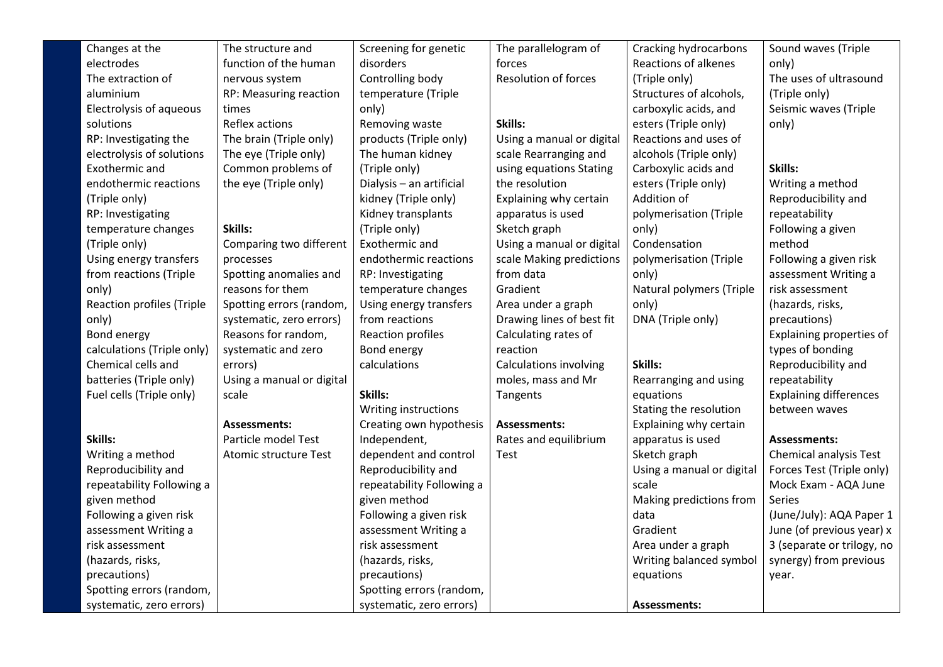| Changes at the                   | The structure and         | Screening for genetic     | The parallelogram of          | Cracking hydrocarbons     | Sound waves (Triple           |
|----------------------------------|---------------------------|---------------------------|-------------------------------|---------------------------|-------------------------------|
| electrodes                       | function of the human     | disorders                 | forces                        | Reactions of alkenes      | only)                         |
| The extraction of                | nervous system            | Controlling body          | <b>Resolution of forces</b>   | (Triple only)             | The uses of ultrasound        |
| aluminium                        | RP: Measuring reaction    | temperature (Triple       |                               | Structures of alcohols,   | (Triple only)                 |
| Electrolysis of aqueous          | times                     | only)                     |                               | carboxylic acids, and     | Seismic waves (Triple         |
| solutions                        | Reflex actions            | Removing waste            | Skills:                       | esters (Triple only)      | only)                         |
| RP: Investigating the            | The brain (Triple only)   | products (Triple only)    | Using a manual or digital     | Reactions and uses of     |                               |
| electrolysis of solutions        | The eye (Triple only)     | The human kidney          | scale Rearranging and         | alcohols (Triple only)    |                               |
| Exothermic and                   | Common problems of        | (Triple only)             | using equations Stating       | Carboxylic acids and      | Skills:                       |
| endothermic reactions            | the eye (Triple only)     | Dialysis - an artificial  | the resolution                | esters (Triple only)      | Writing a method              |
| (Triple only)                    |                           | kidney (Triple only)      | Explaining why certain        | Addition of               | Reproducibility and           |
| RP: Investigating                |                           | Kidney transplants        | apparatus is used             | polymerisation (Triple    | repeatability                 |
| temperature changes              | Skills:                   | (Triple only)             | Sketch graph                  | only)                     | Following a given             |
| (Triple only)                    | Comparing two different   | Exothermic and            | Using a manual or digital     | Condensation              | method                        |
| Using energy transfers           | processes                 | endothermic reactions     | scale Making predictions      | polymerisation (Triple    | Following a given risk        |
| from reactions (Triple           | Spotting anomalies and    | RP: Investigating         | from data                     | only)                     | assessment Writing a          |
| only)                            | reasons for them          | temperature changes       | Gradient                      | Natural polymers (Triple  | risk assessment               |
| <b>Reaction profiles (Triple</b> | Spotting errors (random,  | Using energy transfers    | Area under a graph            | only)                     | (hazards, risks,              |
| only)                            | systematic, zero errors)  | from reactions            | Drawing lines of best fit     | DNA (Triple only)         | precautions)                  |
| Bond energy                      | Reasons for random,       | Reaction profiles         | Calculating rates of          |                           | Explaining properties of      |
| calculations (Triple only)       | systematic and zero       | Bond energy               | reaction                      |                           | types of bonding              |
| Chemical cells and               | errors)                   | calculations              | <b>Calculations involving</b> | Skills:                   | Reproducibility and           |
| batteries (Triple only)          | Using a manual or digital |                           | moles, mass and Mr            | Rearranging and using     | repeatability                 |
| Fuel cells (Triple only)         | scale                     | Skills:                   | Tangents                      | equations                 | <b>Explaining differences</b> |
|                                  |                           | Writing instructions      |                               | Stating the resolution    | between waves                 |
|                                  | <b>Assessments:</b>       | Creating own hypothesis   | <b>Assessments:</b>           | Explaining why certain    |                               |
| Skills:                          | Particle model Test       | Independent,              | Rates and equilibrium         | apparatus is used         | <b>Assessments:</b>           |
| Writing a method                 | Atomic structure Test     | dependent and control     | Test                          | Sketch graph              | Chemical analysis Test        |
| Reproducibility and              |                           | Reproducibility and       |                               | Using a manual or digital | Forces Test (Triple only)     |
| repeatability Following a        |                           | repeatability Following a |                               | scale                     | Mock Exam - AQA June          |
| given method                     |                           | given method              |                               | Making predictions from   | <b>Series</b>                 |
| Following a given risk           |                           | Following a given risk    |                               | data                      | (June/July): AQA Paper 1      |
| assessment Writing a             |                           | assessment Writing a      |                               | Gradient                  | June (of previous year) x     |
| risk assessment                  |                           | risk assessment           |                               | Area under a graph        | 3 (separate or trilogy, no    |
| (hazards, risks,                 |                           | (hazards, risks,          |                               | Writing balanced symbol   | synergy) from previous        |
| precautions)                     |                           | precautions)              |                               | equations                 | year.                         |
| Spotting errors (random,         |                           | Spotting errors (random,  |                               |                           |                               |
| systematic, zero errors)         |                           | systematic, zero errors)  |                               | <b>Assessments:</b>       |                               |